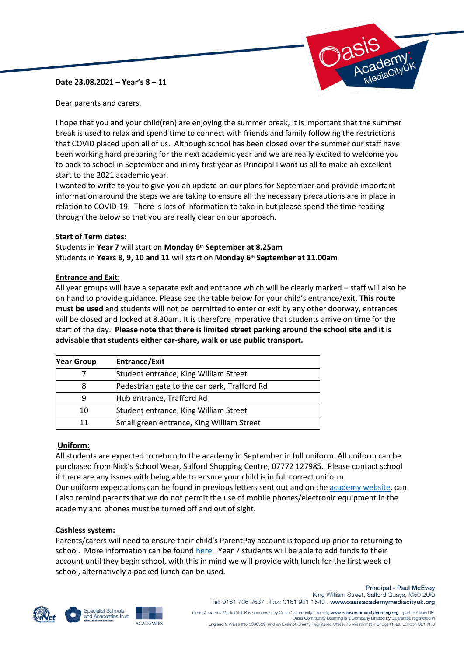### **Date 23.08.2021 – Year's 8 – 11**



Dear parents and carers,

I hope that you and your child(ren) are enjoying the summer break, it is important that the summer break is used to relax and spend time to connect with friends and family following the restrictions that COVID placed upon all of us. Although school has been closed over the summer our staff have been working hard preparing for the next academic year and we are really excited to welcome you to back to school in September and in my first year as Principal I want us all to make an excellent start to the 2021 academic year.

I wanted to write to you to give you an update on our plans for September and provide important information around the steps we are taking to ensure all the necessary precautions are in place in relation to COVID-19. There is lots of information to take in but please spend the time reading through the below so that you are really clear on our approach.

#### **Start of Term dates:**

Students in **Year 7** will start on **Monday 6th September at 8.25am** Students in **Years 8, 9, 10 and 11** will start on **Monday 6th September at 11.00am**

#### **Entrance and Exit:**

All year groups will have a separate exit and entrance which will be clearly marked – staff will also be on hand to provide guidance. Please see the table below for your child's entrance/exit. **This route must be used** and students will not be permitted to enter or exit by any other doorway, entrances will be closed and locked at 8.30am**.** It is therefore imperative that students arrive on time for the start of the day. **Please note that there is limited street parking around the school site and it is advisable that students either car-share, walk or use public transport.**

| <b>Year Group</b> | <b>Entrance/Exit</b>                         |
|-------------------|----------------------------------------------|
|                   | Student entrance, King William Street        |
| 8                 | Pedestrian gate to the car park, Trafford Rd |
|                   | Hub entrance, Trafford Rd                    |
| 10                | Student entrance, King William Street        |
| 11                | Small green entrance, King William Street    |

### **Uniform:**

All students are expected to return to the academy in September in full uniform. All uniform can be purchased from Nick's School Wear, Salford Shopping Centre, 07772 127985. Please contact school if there are any issues with being able to ensure your child is in full correct uniform.

Our uniform expectations can be found in previous letters sent out and on the [academy website,](https://www.oasisacademymediacityuk.org/academy-life/uniform) can I also remind parents that we do not permit the use of mobile phones/electronic equipment in the academy and phones must be turned off and out of sight.

#### **Cashless system:**

Parents/carers will need to ensure their child's ParentPay account is topped up prior to returning to school. More information can be found [here.](https://www.oasisacademymediacityuk.org/academy-life/parent-pay) Year 7 students will be able to add funds to their account until they begin school, with this in mind we will provide with lunch for the first week of school, alternatively a packed lunch can be used.







**Principal - Paul McEvoy** King William Street, Salford Quays, M50 2UQ Tel: 0161 736 2637 . Fax: 0161 921 1543 . www.oasisacademymediacityuk.org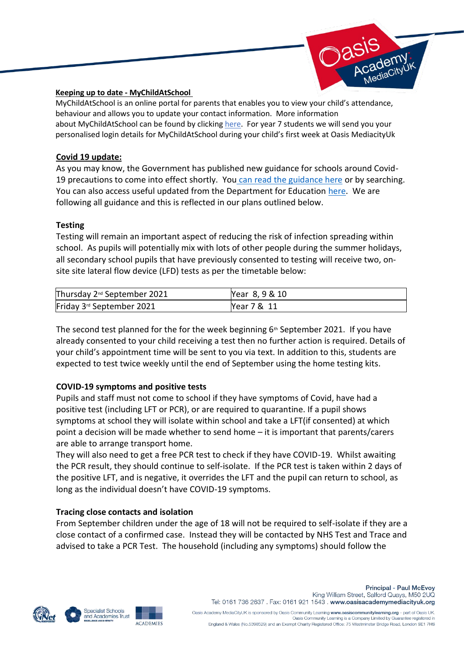

## **Keeping up to date - MyChildAtSchool**

MyChildAtSchool is an online portal for parents that enables you to view your child's attendance, behaviour and allows you to update your contact information. More information about MyChildAtSchool can be found by clicking [here.](https://www.oasisacademymediacityuk.org/academy-life/my-child-at-school-mcas) For year 7 students we will send you your personalised login details for MyChildAtSchool during your child's first week at Oasis MediacityUk

# **Covid 19 update:**

As you may know, the Government has published new guidance for schools around Covid-19 precautions to come into effect shortly. You [can read the guidance here](https://www.gov.uk/government/publications/actions-for-schools-during-the-coronavirus-outbreak/schools-covid-19-operational-guidance) or by searching. You can also access useful updated from the Department for Education [here.](https://www.gov.uk/government/collections/information-for-parents-and-carers-coronavirus-covid-19) We are following all guidance and this is reflected in our plans outlined below.

# **Testing**

Testing will remain an important aspect of reducing the risk of infection spreading within school. As pupils will potentially mix with lots of other people during the summer holidays, all secondary school pupils that have previously consented to testing will receive two, onsite site lateral flow device (LFD) tests as per the timetable below:

| Thursday 2 <sup>nd</sup> September 2021 | Year 8, 9 & 10 |
|-----------------------------------------|----------------|
| Friday 3 <sup>rd</sup> September 2021   | Year 7 & 11    |

The second test planned for the for the week beginning  $6<sup>th</sup>$  September 2021. If you have already consented to your child receiving a test then no further action is required. Details of your child's appointment time will be sent to you via text. In addition to this, students are expected to test twice weekly until the end of September using the home testing kits.

# **COVID-19 symptoms and positive tests**

Pupils and staff must not come to school if they have symptoms of Covid, have had a positive test (including LFT or PCR), or are required to quarantine. If a pupil shows symptoms at school they will isolate within school and take a LFT(if consented) at which point a decision will be made whether to send home – it is important that parents/carers are able to arrange transport home.

They will also need to get a free PCR test to check if they have COVID-19. Whilst awaiting the PCR result, they should continue to self-isolate. If the PCR test is taken within 2 days of the positive LFT, and is negative, it overrides the LFT and the pupil can return to school, as long as the individual doesn't have COVID-19 symptoms.

# **Tracing close contacts and isolation**

From September children under the age of 18 will not be required to self-isolate if they are a close contact of a confirmed case. Instead they will be contacted by NHS Test and Trace and advised to take a PCR Test. The household (including any symptoms) should follow the







Oasis Academy MediaCityUK is sponsored by Oasis Community Learning www.oasiscommunitylearning.org - part of Oasis UK. Dasis Community Learning is a Company Limited by Guarantee registered in England & Wales (No.5398529) and an Exempt Charity Registered Office: 75 Westminster Bridge Road, London SE1 7HS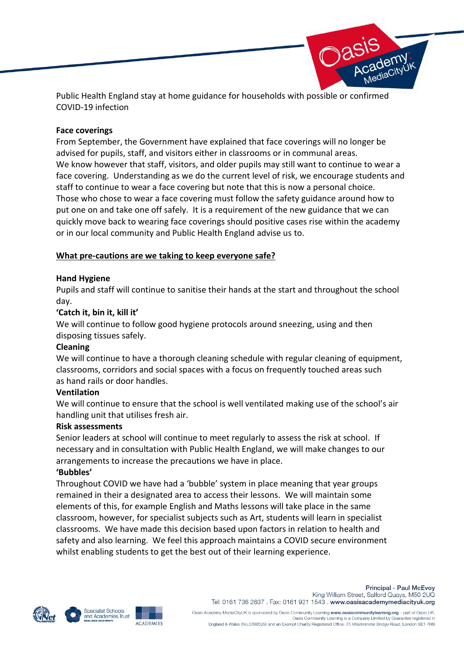

Public Health England stay at home guidance for households with possible or confirmed COVID-19 infection

# **Face coverings**

From September, the Government have explained that face coverings will no longer be advised for pupils, staff, and visitors either in classrooms or in communal areas. We know however that staff, visitors, and older pupils may still want to continue to wear a face covering. Understanding as we do the current level of risk, we encourage students and staff to continue to wear a face covering but note that this is now a personal choice. Those who chose to wear a face covering must follow the safety guidance around how to put one on and take one off safely. It is a requirement of the new guidance that we can quickly move back to wearing face coverings should positive cases rise within the academy or in our local community and Public Health England advise us to.

# **What pre-cautions are we taking to keep everyone safe?**

# **Hand Hygiene**

Pupils and staff will continue to sanitise their hands at the start and throughout the school day.

# **'Catch it, bin it, kill it'**

We will continue to follow good hygiene protocols around sneezing, using and then disposing tissues safely.

### **Cleaning**

We will continue to have a thorough cleaning schedule with regular cleaning of equipment, classrooms, corridors and social spaces with a focus on frequently touched areas such as hand rails or door handles.

### **Ventilation**

We will continue to ensure that the school is well ventilated making use of the school's air handling unit that utilises fresh air.

### **Risk assessments**

Senior leaders at school will continue to meet regularly to assess the risk at school. If necessary and in consultation with Public Health England, we will make changes to our arrangements to increase the precautions we have in place.

### **'Bubbles'**

Throughout COVID we have had a 'bubble' system in place meaning that year groups remained in their a designated area to access their lessons. We will maintain some elements of this, for example English and Maths lessons will take place in the same classroom, however, for specialist subjects such as Art, students will learn in specialist classrooms. We have made this decision based upon factors in relation to health and safety and also learning. We feel this approach maintains a COVID secure environment whilst enabling students to get the best out of their learning experience.